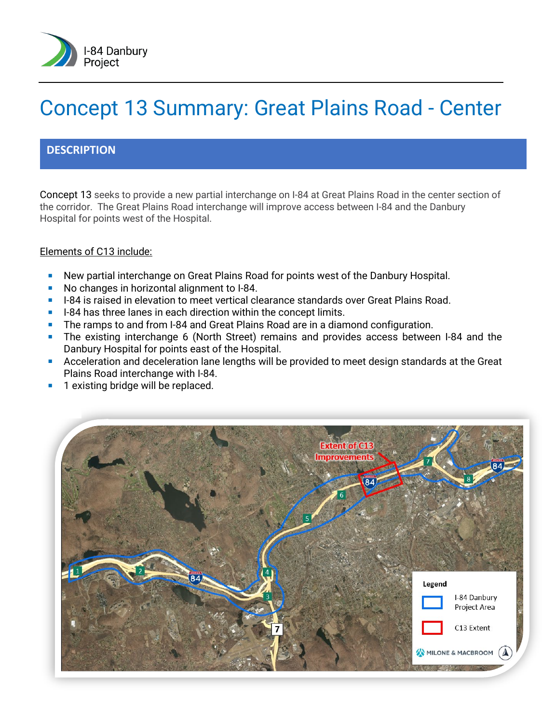

# Concept 13 Summary: Great Plains Road - Center

#### **DESCRIPTION**

Concept 13 seeks to provide a new partial interchange on I-84 at Great Plains Road in the center section of the corridor. The Great Plains Road interchange will improve access between I-84 and the Danbury Hospital for points west of the Hospital.

#### Elements of C13 include:

- New partial interchange on Great Plains Road for points west of the Danbury Hospital.
- No changes in horizontal alignment to I-84.
- **I-84** is raised in elevation to meet vertical clearance standards over Great Plains Road.
- $\blacksquare$  I-84 has three lanes in each direction within the concept limits.
- The ramps to and from I-84 and Great Plains Road are in a diamond configuration.
- The existing interchange 6 (North Street) remains and provides access between I-84 and the Danbury Hospital for points east of the Hospital.
- **Acceleration and deceleration lane lengths will be provided to meet design standards at the Great** Plains Road interchange with I-84.
- 1 existing bridge will be replaced.